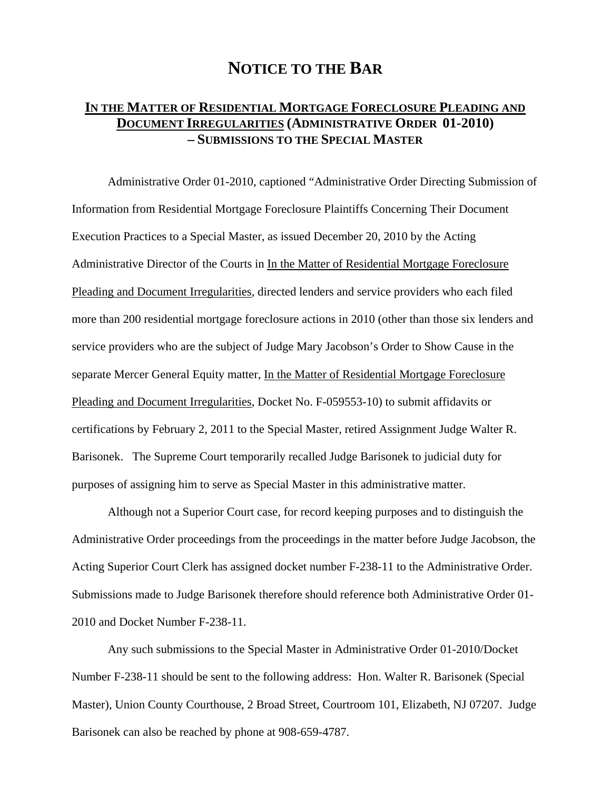## **NOTICE TO THE BAR**

## **IN THE MATTER OF RESIDENTIAL MORTGAGE FORECLOSURE PLEADING AND DOCUMENT IRREGULARITIES (ADMINISTRATIVE ORDER 01-2010) – SUBMISSIONS TO THE SPECIAL MASTER**

Administrative Order 01-2010, captioned "Administrative Order Directing Submission of Information from Residential Mortgage Foreclosure Plaintiffs Concerning Their Document Execution Practices to a Special Master, as issued December 20, 2010 by the Acting Administrative Director of the Courts in In the Matter of Residential Mortgage Foreclosure Pleading and Document Irregularities, directed lenders and service providers who each filed more than 200 residential mortgage foreclosure actions in 2010 (other than those six lenders and service providers who are the subject of Judge Mary Jacobson's Order to Show Cause in the separate Mercer General Equity matter, In the Matter of Residential Mortgage Foreclosure Pleading and Document Irregularities, Docket No. F-059553-10) to submit affidavits or certifications by February 2, 2011 to the Special Master, retired Assignment Judge Walter R. Barisonek. The Supreme Court temporarily recalled Judge Barisonek to judicial duty for purposes of assigning him to serve as Special Master in this administrative matter.

Although not a Superior Court case, for record keeping purposes and to distinguish the Administrative Order proceedings from the proceedings in the matter before Judge Jacobson, the Acting Superior Court Clerk has assigned docket number F-238-11 to the Administrative Order. Submissions made to Judge Barisonek therefore should reference both Administrative Order 01- 2010 and Docket Number F-238-11.

Any such submissions to the Special Master in Administrative Order 01-2010/Docket Number F-238-11 should be sent to the following address: Hon. Walter R. Barisonek (Special Master), Union County Courthouse, 2 Broad Street, Courtroom 101, Elizabeth, NJ 07207. Judge Barisonek can also be reached by phone at 908-659-4787.